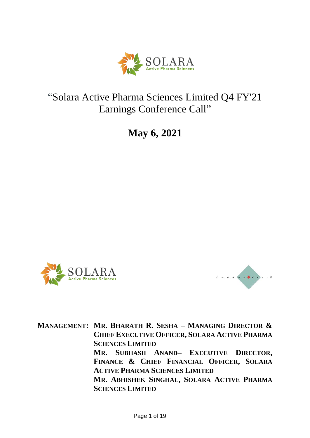

# "Solara Active Pharma Sciences Limited Q4 FY'21 Earnings Conference Call"

**May 6, 2021**





**MANAGEMENT: MR. BHARATH R. SESHA – MANAGING DIRECTOR & CHIEF EXECUTIVE OFFICER, SOLARA ACTIVE PHARMA SCIENCES LIMITED MR. SUBHASH ANAND– EXECUTIVE DIRECTOR, FINANCE & CHIEF FINANCIAL OFFICER, SOLARA ACTIVE PHARMA SCIENCES LIMITED MR. ABHISHEK SINGHAL, SOLARA ACTIVE PHARMA SCIENCES LIMITED**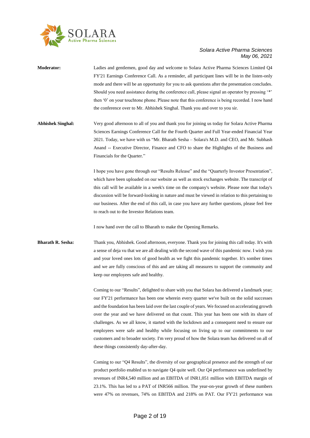

| <b>Moderator:</b>        | Ladies and gentlemen, good day and welcome to Solara Active Pharma Sciences Limited Q4<br>FY'21 Earnings Conference Call. As a reminder, all participant lines will be in the listen-only<br>mode and there will be an opportunity for you to ask questions after the presentation concludes.<br>Should you need assistance during the conference call, please signal an operator by pressing '*'<br>then '0' on your touchtone phone. Please note that this conference is being recorded. I now hand<br>the conference over to Mr. Abhishek Singhal. Thank you and over to you sir. |
|--------------------------|--------------------------------------------------------------------------------------------------------------------------------------------------------------------------------------------------------------------------------------------------------------------------------------------------------------------------------------------------------------------------------------------------------------------------------------------------------------------------------------------------------------------------------------------------------------------------------------|
| <b>Abhishek Singhal:</b> | Very good afternoon to all of you and thank you for joining us today for Solara Active Pharma<br>Sciences Earnings Conference Call for the Fourth Quarter and Full Year-ended Financial Year<br>2021. Today, we have with us "Mr. Bharath Sesha - Solara's M.D. and CEO, and Mr. Subhash<br>Anand -- Executive Director, Finance and CFO to share the Highlights of the Business and<br>Financials for the Quarter."                                                                                                                                                                 |
|                          | I hope you have gone through our "Results Release" and the "Quarterly Investor Presentation",<br>which have been uploaded on our website as well as stock exchanges website. The transcript of<br>this call will be available in a week's time on the company's website. Please note that today's<br>discussion will be forward-looking in nature and must be viewed in relation to this pertaining to<br>our business. After the end of this call, in case you have any further questions, please feel free<br>to reach out to the Investor Relations team.                         |
|                          | I now hand over the call to Bharath to make the Opening Remarks.                                                                                                                                                                                                                                                                                                                                                                                                                                                                                                                     |
| Bharath R. Sesha:        | Thank you, Abhishek. Good afternoon, everyone. Thank you for joining this call today. It's with<br>a sense of deja vu that we are all dealing with the second wave of this pandemic now. I wish you<br>and your loved ones lots of good health as we fight this pandemic together. It's somber times<br>and we are fully conscious of this and are taking all measures to support the community and<br>keep our employees safe and healthy.                                                                                                                                          |
|                          | Coming to our "Results", delighted to share with you that Solara has delivered a landmark year;<br>our FY'21 performance has been one wherein every quarter we've built on the solid successes<br>and the foundation has been laid over the last couple of years. We focused on accelerating growth<br>over the year and we have delivered on that count. This year has been one with its share of<br>challenges. As we all know, it started with the lockdown and a consequent need to ensure our                                                                                   |

customers and to broader society. I'm very proud of how the Solara team has delivered on all of these things consistently day-after-day. Coming to our "Q4 Results", the diversity of our geographical presence and the strength of our product portfolio enabled us to navigate Q4 quite well. Our Q4 performance was underlined by revenues of INR4,540 million and an EBITDA of INR1,051 million with EBITDA margin of

23.1%. This has led to a PAT of INR566 million. The year-on-year growth of these numbers were 47% on revenues, 74% on EBITDA and 218% on PAT. Our FY'21 performance was

employees were safe and healthy while focusing on living up to our commitments to our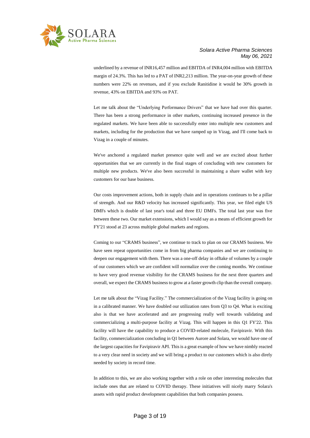

underlined by a revenue of INR16,457 million and EBITDA of INR4,004 million with EBITDA margin of 24.3%. This has led to a PAT of INR2,213 million. The year-on-year growth of these numbers were 22% on revenues, and if you exclude Ranitidine it would be 30% growth in revenue, 43% on EBITDA and 93% on PAT.

Let me talk about the "Underlying Performance Drivers" that we have had over this quarter. There has been a strong performance in other markets, continuing increased presence in the regulated markets. We have been able to successfully enter into multiple new customers and markets, including for the production that we have ramped up in Vizag, and I'll come back to Vizag in a couple of minutes.

We've anchored a regulated market presence quite well and we are excited about further opportunities that we are currently in the final stages of concluding with new customers for multiple new products. We've also been successful in maintaining a share wallet with key customers for our base business.

Our costs improvement actions, both in supply chain and in operations continues to be a pillar of strength. And our R&D velocity has increased significantly. This year, we filed eight US DMFs which is double of last year's total and three EU DMFs. The total last year was five between these two. Our market extensions, which I would say as a means of efficient growth for FY'21 stood at 23 across multiple global markets and regions.

Coming to our "CRAMS business", we continue to track to plan on our CRAMS business. We have seen repeat opportunities come in from big pharma companies and we are continuing to deepen our engagement with them. There was a one-off delay in offtake of volumes by a couple of our customers which we are confident will normalize over the coming months. We continue to have very good revenue visibility for the CRAMS business for the next three quarters and overall, we expect the CRAMS business to grow at a faster growth clip than the overall company.

Let me talk about the "Vizag Facility." The commercialization of the Vizag facility is going on in a calibrated manner. We have doubled our utilization rates from Q3 to Q4. What is exciting also is that we have accelerated and are progressing really well towards validating and commercializing a multi-purpose facility at Vizag. This will happen in this Q1 FY'22. This facility will have the capability to produce a COVID-related molecule, Favipiravir. With this facility, commercialization concluding in Q1 between Aurore and Solara, we would have one of the largest capacities for Favipiravir API. This is a great example of how we have nimbly reacted to a very clear need in society and we will bring a product to our customers which is also direly needed by society in record time.

In addition to this, we are also working together with a role on other interesting molecules that include ones that are related to COVID therapy. These initiatives will nicely marry Solara's assets with rapid product development capabilities that both companies possess.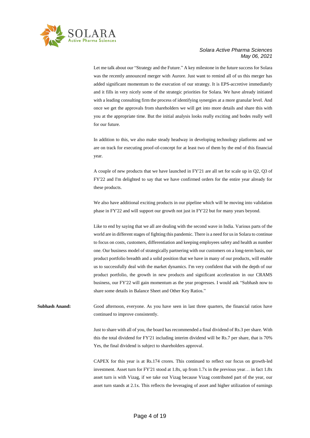

Let me talk about our "Strategy and the Future." A key milestone in the future success for Solara was the recently announced merger with Aurore. Just want to remind all of us this merger has added significant momentum to the execution of our strategy. It is EPS-accretive immediately and it fills in very nicely some of the strategic priorities for Solara. We have already initiated with a leading consulting firm the process of identifying synergies at a more granular level. And once we get the approvals from shareholders we will get into more details and share this with you at the appropriate time. But the initial analysis looks really exciting and bodes really well for our future.

In addition to this, we also make steady headway in developing technology platforms and we are on track for executing proof-of-concept for at least two of them by the end of this financial year.

A couple of new products that we have launched in FY'21 are all set for scale up in Q2, Q3 of FY'22 and I'm delighted to say that we have confirmed orders for the entire year already for these products.

We also have additional exciting products in our pipeline which will be moving into validation phase in FY'22 and will support our growth not just in FY'22 but for many years beyond.

Like to end by saying that we all are dealing with the second wave in India. Various parts of the world are in different stages of fighting this pandemic. There is a need for us in Solara to continue to focus on costs, customers, differentiation and keeping employees safety and health as number one. Our business model of strategically partnering with our customers on a long-term basis, our product portfolio breadth and a solid position that we have in many of our products, will enable us to successfully deal with the market dynamics. I'm very confident that with the depth of our product portfolio, the growth in new products and significant acceleration in our CRAMS business, our FY'22 will gain momentum as the year progresses. I would ask "Subhash now to share some details in Balance Sheet and Other Key Ratios."

**Subhash Anand:** Good afternoon, everyone. As you have seen in last three quarters, the financial ratios have continued to improve consistently.

> Just to share with all of you, the board has recommended a final dividend of Rs.3 per share. With this the total dividend for FY'21 including interim dividend will be Rs.7 per share, that is 70% Yes, the final dividend is subject to shareholders approval.

> CAPEX for this year is at Rs.174 crores. This continued to reflect our focus on growth-led investment. Asset turn for FY'21 stood at 1.8x, up from 1.7x in the previous year… in fact 1.8x asset turn is with Vizag, if we take out Vizag because Vizag contributed part of the year, our asset turn stands at 2.1x. This reflects the leveraging of asset and higher utilization of earnings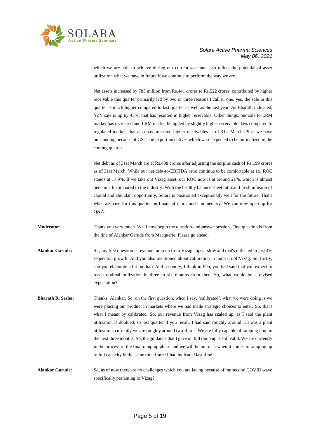

which we are able to achieve during our current year and also reflect the potential of asset utilization what we have in future if we continue to perform the way we are.

Net assets increased by 783 million from Rs.441 crores to Rs.522 crores, contributed by higher receivable this quarter primarily led by two or three reasons I call it, one, yes, the sale in this quarter is much higher compared to last quarter as well as the last year. As Bharath indicated, YoY sale is up by 43%, that has resulted in higher receivable. Other things, our sale to LRM market has increased and LRM market being led by slightly higher receivable days compared to regulated market, that also has impacted higher receivables as of 31st March. Plus, we have outstanding because of GST and export incentives which were expected to be normalized in the coming quarter.

Net debt as of 31st March are at Rs.408 crores after adjusting the surplus cash of Rs.199 crores as of 31st March. While our net debt-to-EBITDA ratio continue to be comfortable at 1x, ROC stands at 17.9%. If we take out Vizag asset, our ROC now is at around 21%, which is almost benchmark compared to the industry. With the healthy balance sheet ratio and fresh infusion of capital and abundant opportunity, Solara is positioned exceptionally well for the future. That's what we have for this quarter on financial ratios and commentary. We can now open up for Q&A.

**Moderator:** Thank you very much. We'll now begin the question-and-answer session. First question is from the line of Alankar Garude from Macquarie. Please go ahead.

- **Alankar Garude:** Sir, my first question is revenue ramp up from Vizag appear slow and that's reflected in just 4% sequential growth. And you also mentioned about calibration in ramp up of Vizag. So, firstly, can you elaborate a bit on that? And secondly, I think in Feb, you had said that you expect to reach optimal utilization in three to six months from then. So, what would be a revised expectation?
- **Bharath R. Sesha:** Thanks, Alankar. So, on the first question, when I say, 'calibrated', what we were doing is we were placing our product in markets where we had made strategic choices to enter. So, that's what I meant by calibrated. So, our revenue from Vizag has scaled up, as I said the plant utilization is doubled, so last quarter if you recall, I had said roughly around 1/3 was a plant utilization, currently we are roughly around two-thirds. We are fully capable of ramping it up in the next three months. So, the guidance that I gave on full ramp up is still valid. We are currently in the process of the final ramp up phase and we will be on track when it comes to ramping up to full capacity in the same time frame I had indicated last time.

**Alankar Garude:** So, as of now there are no challenges which you are facing because of the second COVID wave specifically pertaining to Vizag?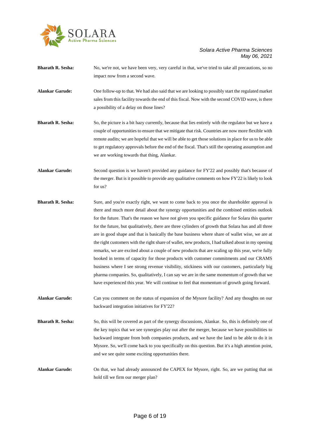

- **Bharath R. Sesha:** No, we're not, we have been very, very careful in that, we've tried to take all precautions, so no impact now from a second wave.
- **Alankar Garude:** One follow-up to that. We had also said that we are looking to possibly start the regulated market sales from this facility towards the end of this fiscal. Now with the second COVID wave, is there a possibility of a delay on those lines?
- **Bharath R. Sesha:** So, the picture is a bit hazy currently, because that lies entirely with the regulator but we have a couple of opportunities to ensure that we mitigate that risk. Countries are now more flexible with remote audits; we are hopeful that we will be able to get those solutions in place for us to be able to get regulatory approvals before the end of the fiscal. That's still the operating assumption and we are working towards that thing, Alankar.
- **Alankar Garude:** Second question is we haven't provided any guidance for FY'22 and possibly that's because of the merger. But is it possible to provide any qualitative comments on how FY'22 is likely to look for us?
- **Bharath R. Sesha:** Sure, and you're exactly right, we want to come back to you once the shareholder approval is there and much more detail about the synergy opportunities and the combined entities outlook for the future. That's the reason we have not given you specific guidance for Solara this quarter for the future, but qualitatively, there are three cylinders of growth that Solara has and all three are in good shape and that is basically the base business where share of wallet wise, we are at the right customers with the right share of wallet, new products, I had talked about in my opening remarks, we are excited about a couple of new products that are scaling up this year, we're fully booked in terms of capacity for those products with customer commitments and our CRAMS business where I see strong revenue visibility, stickiness with our customers, particularly big pharma companies. So, qualitatively, I can say we are in the same momentum of growth that we have experienced this year. We will continue to feel that momentum of growth going forward.
- **Alankar Garude:** Can you comment on the status of expansion of the Mysore facility? And any thoughts on our backward integration initiatives for FY'22?
- **Bharath R. Sesha:** So, this will be covered as part of the synergy discussions, Alankar. So, this is definitely one of the key topics that we see synergies play out after the merger, because we have possibilities to backward integrate from both companies products, and we have the land to be able to do it in Mysore. So, we'll come back to you specifically on this question. But it's a high attention point, and we see quite some exciting opportunities there.
- **Alankar Garude:** On that, we had already announced the CAPEX for Mysore, right. So, are we putting that on hold till we firm our merger plan?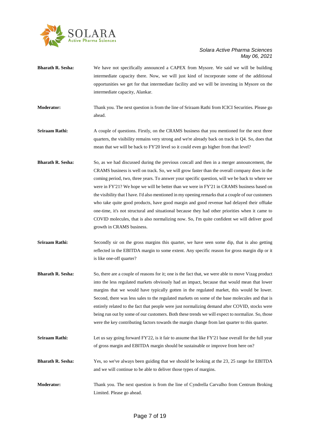

- **Bharath R. Sesha:** We have not specifically announced a CAPEX from Mysore. We said we will be building intermediate capacity there. Now, we will just kind of incorporate some of the additional opportunities we get for that intermediate facility and we will be investing in Mysore on the intermediate capacity, Alankar.
- **Moderator:** Thank you. The next question is from the line of Sriraam Rathi from ICICI Securities. Please go ahead.
- **Sriraam Rathi:** A couple of questions. Firstly, on the CRAMS business that you mentioned for the next three quarters, the visibility remains very strong and we're already back on track in Q4. So, does that mean that we will be back to FY'20 level so it could even go higher from that level?
- **Bharath R. Sesha:** So, as we had discussed during the previous concall and then in a merger announcement, the CRAMS business is well on track. So, we will grow faster than the overall company does in the coming period, two, three years. To answer your specific question, will we be back to where we were in FY'21? We hope we will be better than we were in FY'21 in CRAMS business based on the visibility that I have. I'd also mentioned in my opening remarks that a couple of our customers who take quite good products, have good margin and good revenue had delayed their offtake one-time, it's not structural and situational because they had other priorities when it came to COVID molecules, that is also normalizing now. So, I'm quite confident we will deliver good growth in CRAMS business.
- **Sriraam Rathi:** Secondly sir on the gross margins this quarter, we have seen some dip, that is also getting reflected in the EBITDA margin to some extent. Any specific reason for gross margin dip or it is like one-off quarter?
- **Bharath R. Sesha:** So, there are a couple of reasons for it; one is the fact that, we were able to move Vizag product into the less regulated markets obviously had an impact, because that would mean that lower margins that we would have typically gotten in the regulated market, this would be lower. Second, there was less sales to the regulated markets on some of the base molecules and that is entirely related to the fact that people were just normalizing demand after COVID, stocks were being run out by some of our customers. Both these trends we will expect to normalize. So, those were the key contributing factors towards the margin change from last quarter to this quarter.
- **Sriraam Rathi:** Let us say going forward FY'22, is it fair to assume that like FY'21 base overall for the full year of gross margin and EBITDA margin should be sustainable or improve from here on?
- **Bharath R. Sesha:** Yes, so we've always been guiding that we should be looking at the 23, 25 range for EBITDA and we will continue to be able to deliver those types of margins.
- **Moderator:** Thank you. The next question is from the line of Cyndrella Carvalho from Centrum Broking Limited. Please go ahead.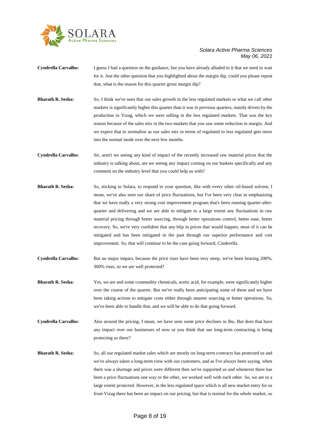

- **Cyndrella Carvalho:** I guess I had a question on the guidance, but you have already alluded to it that we need to wait for it. Just the other question that you highlighted about the margin dip, could you please repeat that, what is the reason for this quarter gross margin dip?
- **Bharath R. Sesha:** So, I think we've seen that our sales growth in the less regulated markets or what we call other markets is significantly higher this quarter than it was in previous quarters, mainly driven by the production in Vizag, which we were selling in the less regulated markets. That was the key reason because of the sales mix in the two markets that you saw some reduction in margin. And we expect that to normalize as our sales mix in terms of regulated to less regulated gets more into the normal mode over the next few months.
- **Cyndrella Carvalho:** Sir, aren't we seeing any kind of impact of the recently increased raw material prices that the industry is talking about, are we seeing any impact coming on our baskets specifically and any comment on the industry level that you could help us with?
- **Bharath R. Sesha:** So, sticking to Solara, to respond to your question, like with every other oil-based solvent, I mean, we've also seen our share of price fluctuations, but I've been very clear in emphasizing that we have really a very strong cost improvement program that's been running quarter-afterquarter and delivering and we are able to mitigate to a large extent any fluctuations in raw material pricing through better sourcing, through better operations control, better ease, better recovery. So, we're very confident that any blip in prices that would happen, most of it can be mitigated and has been mitigated in the past through our superior performance and cost improvement. So, that will continue to be the case going forward, Cinderella.
- **Cyndrella Carvalho:** But no major impact, because the price rises have been very steep, we've been hearing 200%, 300% rises, so we are well protected?
- **Bharath R. Sesha:** Yes, we are and some commodity chemicals, acetic acid, for example, went significantly higher over the course of the quarter. But we've really been anticipating some of these and we have been taking actions to mitigate costs either through smarter sourcing or better operations. So, we've been able to handle that, and we will be able to do that going forward.
- **Cyndrella Carvalho:** Also around the pricing, I mean, we have seen some price declines in Ibu. But does that have any impact over our businesses of now or you think that our long-term contracting is being protecting us there?
- **Bharath R. Sesha:** So, all our regulated market sales which are mostly on long-term contracts has protected us and we've always taken a long-term view with our customers, and as I've always been saying, when there was a shortage and prices were different then we've supported us and whenever there has been a price fluctuations one way or the other, we worked well with each other. So, we are to a large extent protected. However, in the less regulated space which is all new market entry for us from Vizag there has been an impact on our pricing, but that is normal for the whole market, so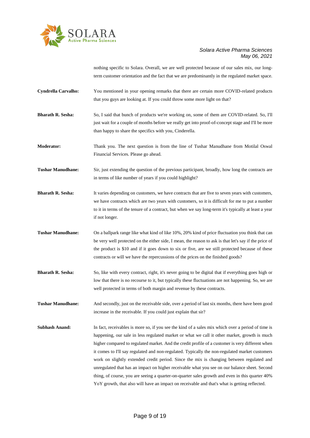

nothing specific to Solara. Overall, we are well protected because of our sales mix, our longterm customer orientation and the fact that we are predominantly in the regulated market space.

- **Cyndrella Carvalho:** You mentioned in your opening remarks that there are certain more COVID-related products that you guys are looking at. If you could throw some more light on that?
- **Bharath R. Sesha:** So, I said that bunch of products we're working on, some of them are COVID-related. So, I'll just wait for a couple of months before we really get into proof-of-concept stage and I'll be more than happy to share the specifics with you, Cinderella.
- **Moderator:** Thank you. The next question is from the line of Tushar Manudhane from Motilal Oswal Financial Services. Please go ahead.
- **Tushar Manudhane:** Sir, just extending the question of the previous participant, broadly, how long the contracts are in terms of like number of years if you could highlight?
- **Bharath R. Sesha:** It varies depending on customers, we have contracts that are five to seven years with customers, we have contracts which are two years with customers, so it is difficult for me to put a number to it in terms of the tenure of a contract, but when we say long-term it's typically at least a year if not longer.
- **Tushar Manudhane:** On a ballpark range like what kind of like 10%, 20% kind of price fluctuation you think that can be very well protected on the either side, I mean, the reason to ask is that let's say if the price of the product is \$10 and if it goes down to six or five, are we still protected because of these contracts or will we have the repercussions of the prices on the finished goods?
- **Bharath R. Sesha:** So, like with every contract, right, it's never going to be digital that if everything goes high or low that there is no recourse to it, but typically these fluctuations are not happening. So, we are well protected in terms of both margin and revenue by these contracts.

**Tushar Manudhane:** And secondly, just on the receivable side, over a period of last six months, there have been good increase in the receivable. If you could just explain that sir?

**Subhash Anand:** In fact, receivables is more so, if you see the kind of a sales mix which over a period of time is happening, our sale in less regulated market or what we call it other market, growth is much higher compared to regulated market. And the credit profile of a customer is very different when it comes to I'll say regulated and non-regulated. Typically the non-regulated market customers work on slightly extended credit period. Since the mix is changing between regulated and unregulated that has an impact on higher receivable what you see on our balance sheet. Second thing, of course, you are seeing a quarter-on-quarter sales growth and even in this quarter 40% YoY growth, that also will have an impact on receivable and that's what is getting reflected.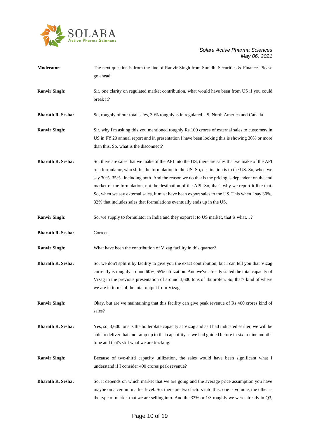

| <b>Moderator:</b>        | The next question is from the line of Ranvir Singh from Sunidhi Securities & Finance. Please<br>go ahead.                                                                                                                                                                                                                                                                                                                                                                                                                                                                                |
|--------------------------|------------------------------------------------------------------------------------------------------------------------------------------------------------------------------------------------------------------------------------------------------------------------------------------------------------------------------------------------------------------------------------------------------------------------------------------------------------------------------------------------------------------------------------------------------------------------------------------|
| <b>Ranvir Singh:</b>     | Sir, one clarity on regulated market contribution, what would have been from US if you could<br>break it?                                                                                                                                                                                                                                                                                                                                                                                                                                                                                |
| <b>Bharath R. Sesha:</b> | So, roughly of our total sales, 30% roughly is in regulated US, North America and Canada.                                                                                                                                                                                                                                                                                                                                                                                                                                                                                                |
| <b>Ranvir Singh:</b>     | Sir, why I'm asking this you mentioned roughly Rs.100 crores of external sales to customers in<br>US in FY'20 annual report and in presentation I have been looking this is showing 30% or more<br>than this. So, what is the disconnect?                                                                                                                                                                                                                                                                                                                                                |
| <b>Bharath R. Sesha:</b> | So, there are sales that we make of the API into the US, there are sales that we make of the API<br>to a formulator, who shifts the formulation to the US. So, destination is to the US. So, when we<br>say 30%, 35%, including both. And the reason we do that is the pricing is dependent on the end<br>market of the formulation, not the destination of the API. So, that's why we report it like that.<br>So, when we say external sales, it must have been export sales to the US. This when I say 30%,<br>32% that includes sales that formulations eventually ends up in the US. |
| <b>Ranvir Singh:</b>     | So, we supply to formulator in India and they export it to US market, that is what?                                                                                                                                                                                                                                                                                                                                                                                                                                                                                                      |
| <b>Bharath R. Sesha:</b> | Correct.                                                                                                                                                                                                                                                                                                                                                                                                                                                                                                                                                                                 |
| <b>Ranvir Singh:</b>     | What have been the contribution of Vizag facility in this quarter?                                                                                                                                                                                                                                                                                                                                                                                                                                                                                                                       |
| <b>Bharath R. Sesha:</b> | So, we don't split it by facility to give you the exact contribution, but I can tell you that Vizag<br>currently is roughly around 60%, 65% utilization. And we've already stated the total capacity of<br>Vizag in the previous presentation of around 3,600 tons of Ibuprofen. So, that's kind of where<br>we are in terms of the total output from Vizag.                                                                                                                                                                                                                             |
| <b>Ranvir Singh:</b>     | Okay, but are we maintaining that this facility can give peak revenue of Rs.400 crores kind of<br>sales?                                                                                                                                                                                                                                                                                                                                                                                                                                                                                 |
| <b>Bharath R. Sesha:</b> | Yes, so, 3,600 tons is the boilerplate capacity at Vizag and as I had indicated earlier, we will be<br>able to deliver that and ramp up to that capability as we had guided before in six to nine months<br>time and that's still what we are tracking.                                                                                                                                                                                                                                                                                                                                  |
| <b>Ranvir Singh:</b>     | Because of two-third capacity utilization, the sales would have been significant what I<br>understand if I consider 400 crores peak revenue?                                                                                                                                                                                                                                                                                                                                                                                                                                             |
| <b>Bharath R. Sesha:</b> | So, it depends on which market that we are going and the average price assumption you have<br>maybe on a certain market level. So, there are two factors into this; one is volume, the other is<br>the type of market that we are selling into. And the $33\%$ or $1/3$ roughly we were already in Q3,                                                                                                                                                                                                                                                                                   |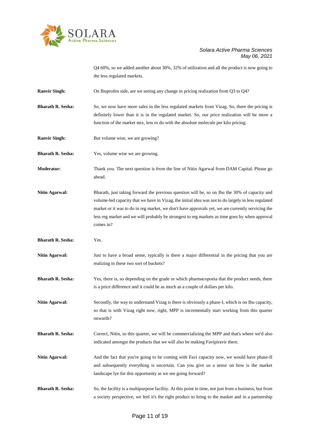

Q4 60%, so we added another about 30%, 32% of utilization and all the product is now going to the less regulated markets.

**Ranvir Singh:** On Ibuprofen side, are we seeing any change in pricing realization from Q3 to Q4?

**Bharath R. Sesha:** So, we now have more sales in the less regulated markets from Vizag. So, there the pricing is definitely lower than it is in the regulated market. So, our price realization will be more a function of the market mix, less to do with the absolute molecule per kilo pricing.

**Ranvir Singh:** But volume wise, we are growing?

**Bharath R. Sesha:** Yes, volume wise we are growing.

**Moderator:** Thank you. The next question is from the line of Nitin Agarwal from DAM Capital. Please go ahead.

**Nitin Agarwal:** Bharath, just taking forward the previous question will be, so on Ibu the 30% of capacity and volume-led capacity that we have in Vizag, the initial idea was not to do largely in less regulated market or it was to do in reg market, we don't have approvals yet, we are currently servicing the less reg market and we will probably be strongest to reg markets as time goes by when approval comes in?

**Bharath R. Sesha:** Yes.

**Nitin Agarwal:** Just to have a broad sense, typically is there a major differential in the pricing that you are realizing in these two sort of buckets?

**Bharath R. Sesha:** Yes, there is, so depending on the grade or which pharmacopoeia that the product needs, there is a price difference and it could be as much as a couple of dollars per kilo.

**Nitin Agarwal:** Secondly, the way to understand Vizag is there is obviously a phase-I, which is on Ibu capacity, so that is with Vizag right now, right, MPP is incrementally start working from this quarter onwards?

**Bharath R. Sesha:** Correct, Nitin, so this quarter, we will be commercializing the MPP and that's where we'd also indicated amongst the products that we will also be making Favipiravir there.

**Nitin Agarwal:** And the fact that you're going to be coming with Favi capacity now, we would have phase-II and subsequently everything is uncertain. Can you give us a sense on how is the market landscape lye for this opportunity as we see going forward?

**Bharath R. Sesha:** So, the facility is a multipurpose facility. At this point in time, not just from a business, but from a society perspective, we feel it's the right product to bring to the market and in a partnership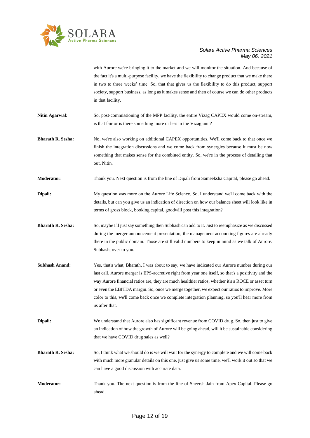

with Aurore we're bringing it to the market and we will monitor the situation. And because of the fact it's a multi-purpose facility, we have the flexibility to change product that we make there in two to three weeks' time. So, that that gives us the flexibility to do this product, support society, support business, as long as it makes sense and then of course we can do other products in that facility.

- **Nitin Agarwal:** So, post-commissioning of the MPP facility, the entire Vizag CAPEX would come on-stream, is that fair or is there something more or less in the Vizag unit?
- **Bharath R. Sesha:** No, we're also working on additional CAPEX opportunities. We'll come back to that once we finish the integration discussions and we come back from synergies because it must be now something that makes sense for the combined entity. So, we're in the process of detailing that out, Nitin.
- **Moderator:** Thank you. Next question is from the line of Dipali from Sameeksha Capital, please go ahead.
- **Dipali:** My question was more on the Aurore Life Science. So, I understand we'll come back with the details, but can you give us an indication of direction on how our balance sheet will look like in terms of gross block, booking capital, goodwill post this integration?
- **Bharath R. Sesha:** So, maybe I'll just say something then Subhash can add to it. Just to reemphasize as we discussed during the merger announcement presentation, the management accounting figures are already there in the public domain. Those are still valid numbers to keep in mind as we talk of Aurore. Subhash, over to you.
- **Subhash Anand:** Yes, that's what, Bharath, I was about to say, we have indicated our Aurore number during our last call. Aurore merger is EPS-accretive right from year one itself, so that's a positivity and the way Aurore financial ratios are, they are much healthier ratios, whether it's a ROCE or asset turn or even the EBITDA margin. So, once we merge together, we expect our ratios to improve. More color to this, we'll come back once we complete integration planning, so you'll hear more from us after that.
- **Dipali:** We understand that Aurore also has significant revenue from COVID drug. So, then just to give an indication of how the growth of Aurore will be going ahead, will it be sustainable considering that we have COVID drug sales as well?
- **Bharath R. Sesha:** So, I think what we should do is we will wait for the synergy to complete and we will come back with much more granular details on this one, just give us some time, we'll work it out so that we can have a good discussion with accurate data.
- **Moderator:** Thank you. The next question is from the line of Sheersh Jain from Apex Capital. Please go ahead.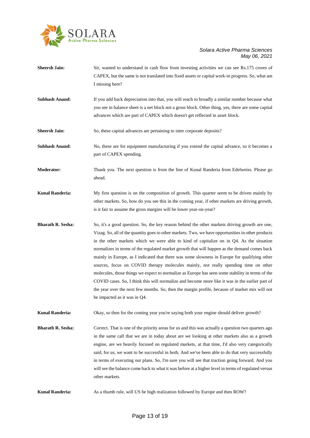

| <b>Sheersh Jain:</b>     | Sir, wanted to understand in cash flow from investing activities we can see Rs.175 crores of<br>CAPEX, but the same is not translated into fixed assets or capital work-in progress. So, what am<br>I missing here?                                                                                                                                                                                                                                                                                                                                                                                                                                                                                                                                                                                                                                                                                                                |
|--------------------------|------------------------------------------------------------------------------------------------------------------------------------------------------------------------------------------------------------------------------------------------------------------------------------------------------------------------------------------------------------------------------------------------------------------------------------------------------------------------------------------------------------------------------------------------------------------------------------------------------------------------------------------------------------------------------------------------------------------------------------------------------------------------------------------------------------------------------------------------------------------------------------------------------------------------------------|
| <b>Subhash Anand:</b>    | If you add back depreciation into that, you will reach to broadly a similar number because what<br>you see in balance sheet is a net block not a gross block. Other thing, yes, there are some capital<br>advances which are part of CAPEX which doesn't get reflected in asset block.                                                                                                                                                                                                                                                                                                                                                                                                                                                                                                                                                                                                                                             |
| <b>Sheersh Jain:</b>     | So, these capital advances are pertaining to inter corporate deposits?                                                                                                                                                                                                                                                                                                                                                                                                                                                                                                                                                                                                                                                                                                                                                                                                                                                             |
| <b>Subhash Anand:</b>    | No, these are for equipment manufacturing if you extend the capital advance, so it becomes a<br>part of CAPEX spending.                                                                                                                                                                                                                                                                                                                                                                                                                                                                                                                                                                                                                                                                                                                                                                                                            |
| <b>Moderator:</b>        | Thank you. The next question is from the line of Kunal Randeria from Edelweiss. Please go<br>ahead.                                                                                                                                                                                                                                                                                                                                                                                                                                                                                                                                                                                                                                                                                                                                                                                                                                |
| <b>Kunal Randeria:</b>   | My first question is on the composition of growth. This quarter seem to be driven mainly by<br>other markets. So, how do you see this in the coming year, if other markets are driving growth,<br>is it fair to assume the gross margins will be lower year-on-year?                                                                                                                                                                                                                                                                                                                                                                                                                                                                                                                                                                                                                                                               |
| <b>Bharath R. Sesha:</b> | So, it's a good question. So, the key reason behind the other markets driving growth are one,<br>Vizag. So, all of the quantity goes to other markets. Two, we have opportunities in other products<br>in the other markets which we were able to kind of capitalize on in $Q4$ . As the situation<br>normalizes in terms of the regulated market growth that will happen as the demand comes back<br>mainly in Europe, as I indicated that there was some slowness in Europe for qualifying other<br>sources, focus on COVID therapy molecules mainly, not really spending time on other<br>molecules, those things we expect to normalize as Europe has seen some stability in terms of the<br>COVID cases. So, I think this will normalize and become more like it was in the earlier part of<br>the year over the next few months. So, then the margin profile, because of market mix will not<br>be impacted as it was in Q4. |
| <b>Kunal Randeria:</b>   | Okay, so then for the coming year you're saying both your engine should deliver growth?                                                                                                                                                                                                                                                                                                                                                                                                                                                                                                                                                                                                                                                                                                                                                                                                                                            |
| <b>Bharath R. Sesha:</b> | Correct. That is one of the priority areas for us and this was actually a question two quarters ago<br>in the same call that we are in today about are we looking at other markets also as a growth<br>engine, are we heavily focused on regulated markets, at that time, I'd also very categorically<br>said, for us, we want to be successful in both. And we've been able to do that very successfully<br>in terms of executing our plans. So, I'm sure you will see that traction going forward. And you<br>will see the balance come back to what it was before at a higher level in terms of regulated versus<br>other markets.                                                                                                                                                                                                                                                                                              |
| <b>Kunal Randeria:</b>   | As a thumb rule, will US be high realization followed by Europe and then ROW?                                                                                                                                                                                                                                                                                                                                                                                                                                                                                                                                                                                                                                                                                                                                                                                                                                                      |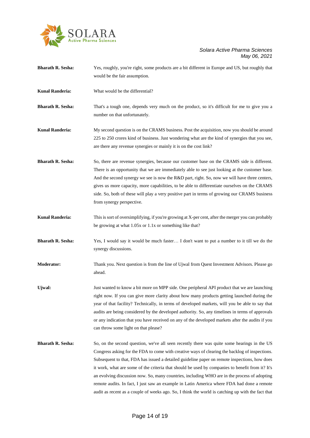

| <b>Bharath R. Sesha:</b> | Yes, roughly, you're right, some products are a bit different in Europe and US, but roughly that<br>would be the fair assumption.                                                                                                                                                                                                                                                                                                                                                                                                                                                                                                                                                                     |
|--------------------------|-------------------------------------------------------------------------------------------------------------------------------------------------------------------------------------------------------------------------------------------------------------------------------------------------------------------------------------------------------------------------------------------------------------------------------------------------------------------------------------------------------------------------------------------------------------------------------------------------------------------------------------------------------------------------------------------------------|
| <b>Kunal Randeria:</b>   | What would be the differential?                                                                                                                                                                                                                                                                                                                                                                                                                                                                                                                                                                                                                                                                       |
| <b>Bharath R. Sesha:</b> | That's a tough one, depends very much on the product, so it's difficult for me to give you a<br>number on that unfortunately.                                                                                                                                                                                                                                                                                                                                                                                                                                                                                                                                                                         |
| <b>Kunal Randeria:</b>   | My second question is on the CRAMS business. Post the acquisition, now you should be around<br>225 to 250 crores kind of business. Just wondering what are the kind of synergies that you see,<br>are there any revenue synergies or mainly it is on the cost link?                                                                                                                                                                                                                                                                                                                                                                                                                                   |
| <b>Bharath R. Sesha:</b> | So, there are revenue synergies, because our customer base on the CRAMS side is different.<br>There is an opportunity that we are immediately able to see just looking at the customer base.<br>And the second synergy we see is now the R&D part, right. So, now we will have three centers,<br>gives us more capacity, more capabilities, to be able to differentiate ourselves on the CRAMS<br>side. So, both of these will play a very positive part in terms of growing our CRAMS business<br>from synergy perspective.                                                                                                                                                                          |
| <b>Kunal Randeria:</b>   | This is sort of oversimplifying, if you're growing at X-per cent, after the merger you can probably<br>be growing at what 1.05x or 1.1x or something like that?                                                                                                                                                                                                                                                                                                                                                                                                                                                                                                                                       |
| <b>Bharath R. Sesha:</b> | Yes, I would say it would be much faster I don't want to put a number to it till we do the<br>synergy discussions.                                                                                                                                                                                                                                                                                                                                                                                                                                                                                                                                                                                    |
| Moderator:               | Thank you. Next question is from the line of Ujwal from Quest Investment Advisors. Please go<br>ahead.                                                                                                                                                                                                                                                                                                                                                                                                                                                                                                                                                                                                |
| Ujwal:                   | Just wanted to know a bit more on MPP side. One peripheral API product that we are launching<br>right now. If you can give more clarity about how many products getting launched during the<br>year of that facility? Technically, in terms of developed markets, will you be able to say that<br>audits are being considered by the developed authority. So, any timelines in terms of approvals<br>or any indication that you have received on any of the developed markets after the audits if you<br>can throw some light on that please?                                                                                                                                                         |
| <b>Bharath R. Sesha:</b> | So, on the second question, we've all seen recently there was quite some hearings in the US<br>Congress asking for the FDA to come with creative ways of clearing the backlog of inspections.<br>Subsequent to that, FDA has issued a detailed guideline paper on remote inspections, how does<br>it work, what are some of the criteria that should be used by companies to benefit from it? It's<br>an evolving discussion now. So, many countries, including WHO are in the process of adopting<br>remote audits. In fact, I just saw an example in Latin America where FDA had done a remote<br>audit as recent as a couple of weeks ago. So, I think the world is catching up with the fact that |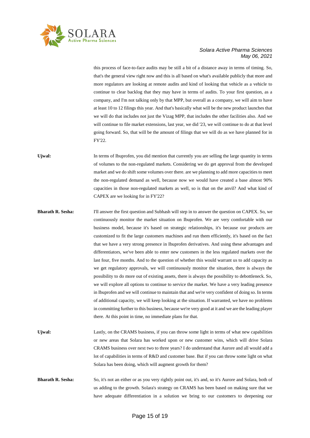

this process of face-to-face audits may be still a bit of a distance away in terms of timing. So, that's the general view right now and this is all based on what's available publicly that more and more regulators are looking at remote audits and kind of looking that vehicle as a vehicle to continue to clear backlog that they may have in terms of audits. To your first question, as a company, and I'm not talking only by that MPP, but overall as a company, we will aim to have at least 10 to 12 filings this year. And that's basically what will be the new product launches that we will do that includes not just the Vizag MPP, that includes the other facilities also. And we will continue to file market extensions, last year, we did '23, we will continue to do at that level going forward. So, that will be the amount of filings that we will do as we have planned for in FY'22.

Ujwal: In terms of Ibuprofen, you did mention that currently you are selling the large quantity in terms of volumes to the non-regulated markets. Considering we do get approval from the developed market and we do shift some volumes over there. are we planning to add more capacities to meet the non-regulated demand as well, because now we would have created a base almost 90% capacities in those non-regulated markets as well, so is that on the anvil? And what kind of CAPEX are we looking for in FY'22?

- **Bharath R. Sesha:** I'll answer the first question and Subhash will step in to answer the question on CAPEX. So, we continuously monitor the market situation on Ibuprofen. We are very comfortable with our business model, because it's based on strategic relationships, it's because our products are customized to fit the large customers machines and run them efficiently, it's based on the fact that we have a very strong presence in Ibuprofen derivatives. And using these advantages and differentiators, we've been able to enter new customers in the less regulated markets over the last four, five months. And to the question of whether this would warrant us to add capacity as we get regulatory approvals, we will continuously monitor the situation, there is always the possibility to do more out of existing assets, there is always the possibility to debottleneck. So, we will explore all options to continue to service the market. We have a very leading presence in Ibuprofen and we will continue to maintain that and we're very confident of doing so. In terms of additional capacity, we will keep looking at the situation. If warranted, we have no problems in committing further to this business, because we're very good at it and we are the leading player there. At this point in time, no immediate plans for that.
- Ujwal: Lastly, on the CRAMS business, if you can throw some light in terms of what new capabilities or new areas that Solara has worked upon or new customer wins, which will drive Solara CRAMS business over next two to three years? I do understand that Aurore and all would add a lot of capabilities in terms of R&D and customer base. But if you can throw some light on what Solara has been doing, which will augment growth for them?
- **Bharath R. Sesha:** So, it's not an either or as you very rightly point out, it's and, so it's Aurore and Solara, both of us adding to the growth. Solara's strategy on CRAMS has been based on making sure that we have adequate differentiation in a solution we bring to our customers to deepening our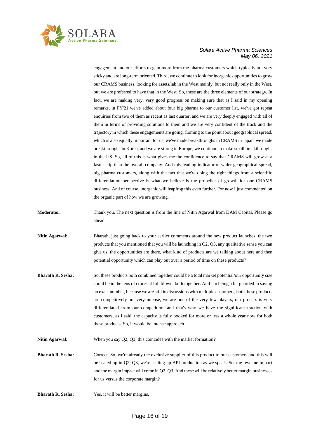

engagement and our efforts to gain more from the pharma customers which typically are very sticky and are long-term oriented. Third, we continue to look for inorganic opportunities to grow our CRAMS business, looking for assets/lab in the West mainly, but not really only in the West, but we are preferred to have that in the West. So, these are the three elements of our strategy. In fact, we are making very, very good progress on making sure that as I said in my opening remarks, in FY'21 we've added about four big pharma to our customer list, we've got repeat enquiries from two of them as recent as last quarter, and we are very deeply engaged with all of them in terms of providing solutions to them and we are very confident of the track and the trajectory in which these engagements are going. Coming to the point about geographical spread, which is also equally important for us, we've made breakthroughs in CRAMS in Japan, we made breakthroughs in Korea, and we are strong in Europe, we continue to make small breakthroughs in the US. So, all of this is what gives me the confidence to say that CRAMS will grow at a faster clip than the overall company. And this leading indicator of wider geographical spread, big pharma customers, along with the fact that we're doing the right things from a scientific differentiation perspective is what we believe is the propeller of growth for our CRAMS business. And of course, inorganic will leapfrog this even further. For now I just commented on the organic part of how we are growing.

- **Moderator:** Thank you. The next question is from the line of Nitin Agarwal from DAM Capital. Please go ahead.
- **Nitin Agarwal:** Bharath, just going back to your earlier comments around the new product launches, the two products that you mentioned that you will be launching in Q2, Q3, any qualitative sense you can give us, the opportunities are there, what kind of products are we talking about here and then potential opportunity which can play out over a period of time on these products?
- **Bharath R. Sesha:** So, these products both combined together could be a total market potential/our opportunity size could be in the tens of crores at full blown, both together. And I'm being a bit guarded in saying an exact number, because we are still in discussions with multiple customers, both these products are competitively not very intense, we are one of the very few players, our process is very differentiated from our competition, and that's why we have the significant traction with customers, as I said, the capacity is fully booked for more or less a whole year now for both these products. So, it would be intense approach.
- **Nitin Agarwal:** When you say Q2, Q3, this coincides with the market formation?
- **Bharath R. Sesha:** Correct. So, we're already the exclusive supplier of this product to our customers and this will be scaled up in Q2, Q3, we're scaling up API production as we speak. So, the revenue impact and the margin impact will come in Q2, Q3. And these will be relatively better margin businesses for us versus the corporate margin?
- **Bharath R. Sesha:** Yes, it will be better margins.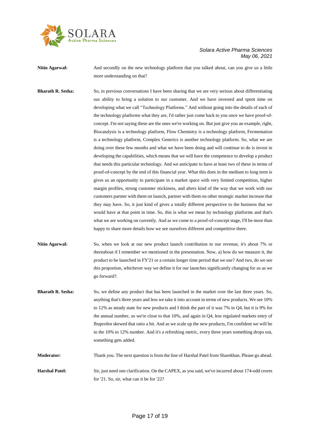

**Nitin Agarwal:** And secondly on the new technology platform that you talked about, can you give us a little more understanding on that?

**Bharath R. Sesha:** So, in previous conversations I have been sharing that we are very serious about differentiating our ability to bring a solution to our customer. And we have invested and spent time on developing what we call "Technology Platforms." And without going into the details of each of the technology platforms what they are, I'd rather just come back to you once we have proof-ofconcept. I'm not saying these are the ones we're working on. But just give you an example, right, Biocatalysis is a technology platform, Flow Chemistry is a technology platform, Fermentation is a technology platform, Complex Generics is another technology platform. So, what we are doing over these few months and what we have been doing and will continue to do is invest in developing the capabilities, which means that we will have the competence to develop a product that needs this particular technology. And we anticipate to have at least two of these in terms of proof-of-concept by the end of this financial year. What this does in the medium to long term is gives us an opportunity to participate in a market space with very limited competition, higher margin profiles, strong customer stickiness, and alters kind of the way that we work with our customers partner with them on launch, partner with them on other strategic market increase that they may have. So, it just kind of gives a totally different perspective to the business that we would have at that point in time. So, this is what we mean by technology platforms and that's what we are working on currently. And as we come to a proof-of-concept stage, I'll be more than happy to share more details how we see ourselves different and competitive there.

**Nitin Agarwal:** So, when we look at our new product launch contribution to our revenue, it's about 7% or thereabout if I remember we mentioned in the presentation. Now, a) how do we measure it, the product to be launched in FY'21 or a certain longer time period that we use? And two, do we see this proportion, whichever way we define it for our launches significantly changing for us as we go forward?.

**Bharath R. Sesha:** So, we define any product that has been launched in the market over the last three years. So, anything that's three years and less we take it into account in terms of new products. We see 10% to 12% as steady state for new products and I think the part of it was 7% in Q4, but it is 9% for the annual number, so we're close to that 10%, and again in Q4, less regulated markets entry of Ibuprofen skewed that ratio a bit. And as we scale up the new products, I'm confident we will be in the 10% to 12% number. And it's a refreshing metric, every three years something drops out, something gets added.

**Moderator:** Thank you. The next question is from the line of Harshal Patel from Sharekhan. Please go ahead. **Harshal Patel:** Sir, just need one clarification. On the CAPEX, as you said, we've incurred about 174-odd crores

for '21. So, sir, what can it be for '22?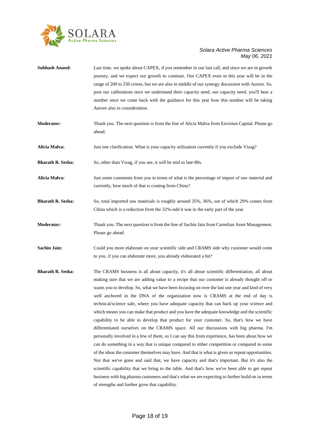

| <b>Subhash Anand:</b>    | Last time, we spoke about CAPEX, if you remember in our last call, and since we are in growth<br>journey, and we expect our growth to continue. Our CAPEX even in this year will be in the<br>range of 200 to 250 crores, but we are also in middle of our synergy discussion with Aurore. So,<br>post our calibrations once we understand their capacity need, our capacity need, you'll hear a<br>number once we come back with the guidance for this year how this number will be taking<br>Aurore also in consideration.                                                                                                                                                                                                                                                                                                                                                                                                                                                                                                                                                                                                                                                                                                                                                                                                                                                                                                       |
|--------------------------|------------------------------------------------------------------------------------------------------------------------------------------------------------------------------------------------------------------------------------------------------------------------------------------------------------------------------------------------------------------------------------------------------------------------------------------------------------------------------------------------------------------------------------------------------------------------------------------------------------------------------------------------------------------------------------------------------------------------------------------------------------------------------------------------------------------------------------------------------------------------------------------------------------------------------------------------------------------------------------------------------------------------------------------------------------------------------------------------------------------------------------------------------------------------------------------------------------------------------------------------------------------------------------------------------------------------------------------------------------------------------------------------------------------------------------|
| <b>Moderator:</b>        | Thank you. The next question is from the line of Alicia Malva from Envision Capital. Please go<br>ahead.                                                                                                                                                                                                                                                                                                                                                                                                                                                                                                                                                                                                                                                                                                                                                                                                                                                                                                                                                                                                                                                                                                                                                                                                                                                                                                                           |
| Alicia Malva:            | Just one clarification. What is your capacity utilization currently if you exclude Vizag?                                                                                                                                                                                                                                                                                                                                                                                                                                                                                                                                                                                                                                                                                                                                                                                                                                                                                                                                                                                                                                                                                                                                                                                                                                                                                                                                          |
| <b>Bharath R. Sesha:</b> | So, other than Vizag, if you see, it will be mid to late-80s.                                                                                                                                                                                                                                                                                                                                                                                                                                                                                                                                                                                                                                                                                                                                                                                                                                                                                                                                                                                                                                                                                                                                                                                                                                                                                                                                                                      |
| Alicia Malva:            | Just some comments from you in terms of what is the percentage of import of raw material and<br>currently, how much of that is coming from China?                                                                                                                                                                                                                                                                                                                                                                                                                                                                                                                                                                                                                                                                                                                                                                                                                                                                                                                                                                                                                                                                                                                                                                                                                                                                                  |
| <b>Bharath R. Sesha:</b> | So, total imported raw materials is roughly around 35%, 36%, out of which 29% comes from<br>China which is a reduction from the 32%-odd it was in the early part of the year.                                                                                                                                                                                                                                                                                                                                                                                                                                                                                                                                                                                                                                                                                                                                                                                                                                                                                                                                                                                                                                                                                                                                                                                                                                                      |
| <b>Moderator:</b>        | Thank you. The next question is from the line of Sachin Jain from Carnelian Asset Management.<br>Please go ahead.                                                                                                                                                                                                                                                                                                                                                                                                                                                                                                                                                                                                                                                                                                                                                                                                                                                                                                                                                                                                                                                                                                                                                                                                                                                                                                                  |
| <b>Sachin Jain:</b>      | Could you more elaborate on your scientific side and CRAMS side why customer would come<br>to you, if you can elaborate more, you already elaborated a bit?                                                                                                                                                                                                                                                                                                                                                                                                                                                                                                                                                                                                                                                                                                                                                                                                                                                                                                                                                                                                                                                                                                                                                                                                                                                                        |
| <b>Bharath R. Sesha:</b> | The CRAMS business is all about capacity, it's all about scientific differentiation, all about<br>making sure that we are adding value to a recipe that our customer is already thought off or<br>wants you to develop. So, what we have been focusing on over the last one year and kind of very<br>well anchored in the DNA of the organization now is CRAMS at the end of day is<br>technical/science sale, where you have adequate capacity that can back up your science and<br>which means you can make that product and you have the adequate knowledge and the scientific<br>capability to be able to develop that product for your customer. So, that's how we have<br>differentiated ourselves on the CRAMS space. All our discussions with big pharma. I'm<br>personally involved in a few of them, so I can say this from experience, has been about how we<br>can do something in a way that is unique compared to either competition or compared to some<br>of the ideas the customer themselves may have. And that is what is given us repeat opportunities.<br>Not that we've gone and said that, we have capacity and that's important. But it's also the<br>scientific capability that we bring to the table. And that's how we've been able to get repeat<br>business with big pharma customers and that's what we are expecting to further build on in terms<br>of strengths and further grow that capability. |